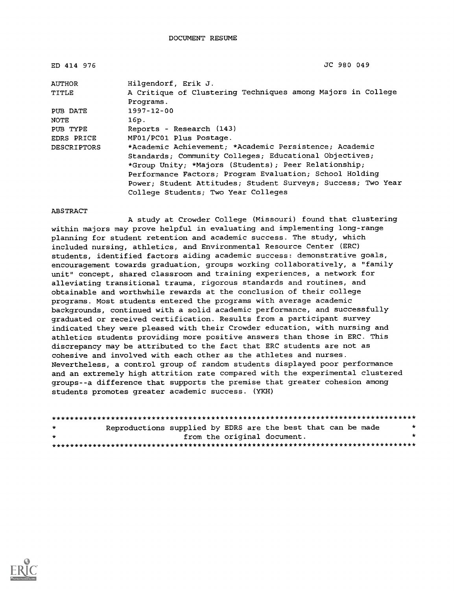| ED 414 976         | JC 980 049                                                               |
|--------------------|--------------------------------------------------------------------------|
| AUTHOR             | Hilgendorf, Erik J.                                                      |
| TITLE              | A Critique of Clustering Techniques among Majors in College<br>Programs. |
| PUB DATE           | $1997 - 12 - 00$                                                         |
| NOTE.              | 16p.                                                                     |
| PUB TYPE           | Reports - Research (143)                                                 |
| EDRS PRICE         | MF01/PC01 Plus Postage.                                                  |
| <b>DESCRIPTORS</b> | *Academic Achievement; *Academic Persistence; Academic                   |
|                    | Standards; Community Colleges; Educational Objectives;                   |
|                    | *Group Unity; *Majors (Students); Peer Relationship;                     |
|                    | Performance Factors; Program Evaluation; School Holding                  |
|                    | Power; Student Attitudes; Student Surveys; Success; Two Year             |
|                    | College Students; Two Year Colleges                                      |

#### ABSTRACT

A study at Crowder College (Missouri) found that clustering within majors may prove helpful in evaluating and implementing long-range planning for student retention and academic success. The study, which included nursing, athletics, and Environmental Resource Center (ERC) students, identified factors aiding academic success: demonstrative goals, encouragement towards graduation, groups working collaboratively, a "family unit" concept, shared classroom and training experiences, a network for alleviating transitional trauma, rigorous standards and routines, and obtainable and worthwhile rewards at the conclusion of their college programs. Most students entered the programs with average academic backgrounds, continued with a solid academic performance, and successfully graduated or received certification. Results from a participant survey indicated they were pleased with their Crowder education, with nursing and athletics students providing more positive answers than those in ERC. This discrepancy may be attributed to the fact that ERC students are not as cohesive and involved with each other as the athletes and nurses. Nevertheless, a control group of random students displayed poor performance and an extremely high attrition rate compared with the experimental clustered groups--a difference that supports the premise that greater cohesion among students promotes greater academic success. (YKH)

| $\star$ | Reproductions supplied by EDRS are the best that can be made |                             |  |  | * |
|---------|--------------------------------------------------------------|-----------------------------|--|--|---|
| $\star$ |                                                              | from the original document. |  |  |   |
|         |                                                              |                             |  |  |   |

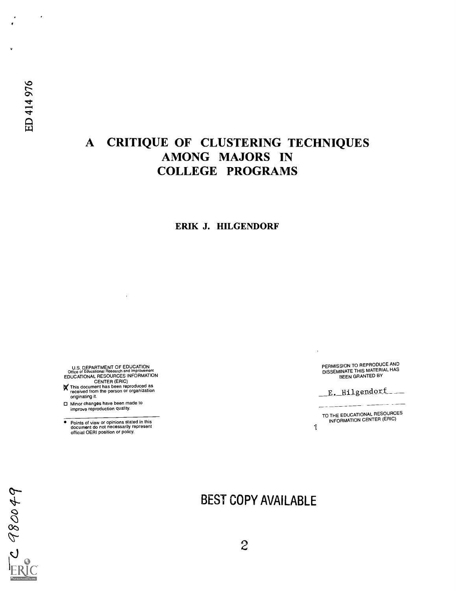$\cdot$ 

# A CRITIQUE OF CLUSTERING TECHNIQUES AMONG MAJORS IN COLLEGE PROGRAMS

## ERIK J. HILGENDORF

U.S. DEPARTMENT OF EDUCATIONAL<br>
Office of Educational Research and Improvement<br>
EDUCATIONAL RESOURCES INFORMATION<br>
CENTER (ERIC)<br>
This document has been reproduced as<br>
received from the person or organization<br>
originating

Minor changes have been made to improve reproduction quality.

 $\bullet$ Points of view or opinions stated in this document do not necessarily represent official OERI position or policy. PERMISSION TO REPRODUCE AND DISSEMINATE THIS MATERIAL HAS BEEN GRANTED BY

E. Hilgendorf

TO THE EDUCATIONAL RESOURCES INFORMATION CENTER (ERIC) 1

0980049

# BEST COPY AVAILABLE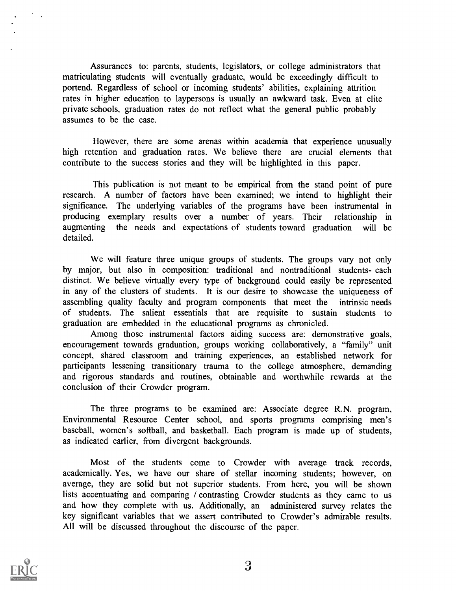Assurances to: parents, students, legislators, or college administrators that matriculating students will eventually graduate, would be exceedingly difficult to portend. Regardless of school or incoming students' abilities, explaining attrition rates in higher education to laypersons is usually an awkward task. Even at elite private schools, graduation rates do not reflect what the general public probably assumes to be the case.

However, there are some arenas within academia that experience unusually high retention and graduation rates. We believe there are crucial elements that contribute to the success stories and they will be highlighted in this paper.

This publication is not meant to be empirical from the stand point of pure research. A number of factors have been examined; we intend to highlight their significance. The underlying variables of the programs have been instrumental in producing exemplary results over a number of years. Their relationship in augmenting the needs and expectations of students toward graduation will be detailed.

We will feature three unique groups of students. The groups vary not only by major, but also in composition: traditional and nontraditional students- each distinct. We believe virtually every type of background could easily be represented in any of the clusters of students. It is our desire to showcase the uniqueness of assembling quality faculty and program components that meet the intrinsic needs of students. The salient essentials that are requisite to sustain students to graduation are embedded in the educational programs as chronicled.

Among those instrumental factors aiding success are: demonstrative goals, encouragement towards graduation, groups working collaboratively, a "family" unit concept, shared classroom and training experiences, an established network for participants lessening transitionary trauma to the college atmosphere, demanding and rigorous standards and routines, obtainable and worthwhile rewards at the conclusion of their Crowder program.

The three programs to be examined are: Associate degree R.N. program, Environmental Resource Center school, and sports programs comprising men's baseball, women's softball, and basketball. Each program is made up of students, as indicated earlier, from divergent backgrounds.

Most of the students come to Crowder with average track records, academically. Yes, we have our share of stellar incoming students; however, on average, they are solid but not superior students. From here, you will be shown lists accentuating and comparing / contrasting Crowder students as they came to us and how they complete with us. Additionally, an administered survey relates the key significant variables that we assert contributed to Crowder's admirable results. All will be discussed throughout the discourse of the paper.

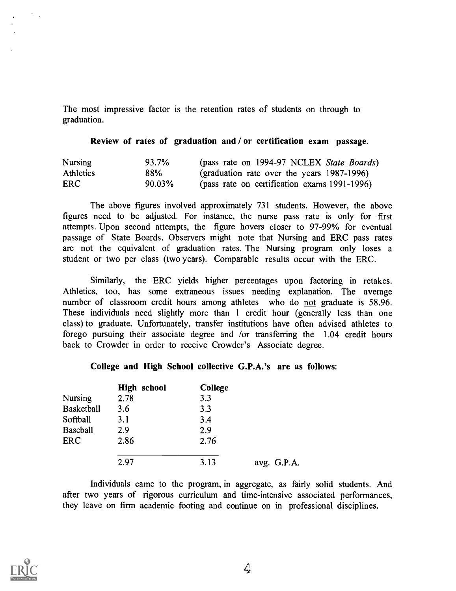The most impressive factor is the retention rates of students on through to graduation.

#### Review of rates of graduation and / or certification exam passage.

| <b>Nursing</b>   | 93.7%  | (pass rate on 1994-97 NCLEX State Boards)    |
|------------------|--------|----------------------------------------------|
| <b>Athletics</b> | 88%    | (graduation rate over the years 1987-1996)   |
| <b>ERC</b>       | 90.03% | (pass rate on certification exams 1991-1996) |

The above figures involved approximately 731 students. However, the above figures need to be adjusted. For instance, the nurse pass rate is only for first attempts. Upon second attempts, the figure hovers closer to 97-99% for eventual passage of State Boards. Observers might note that Nursing and ERC pass rates are not the equivalent of graduation rates. The Nursing program only loses a student or two per class (two years). Comparable results occur with the ERC.

Similarly, the ERC yields higher percentages upon factoring in retakes. Athletics, too, has some extraneous issues needing explanation. The average number of classroom credit hours among athletes who do not graduate is 58.96. These individuals need slightly more than <sup>1</sup> credit hour (generally less than one class) to graduate. Unfortunately, transfer institutions have often advised athletes to forego pursuing their associate degree and /or transferring the 1.04 credit hours back to Crowder in order to receive Crowder's Associate degree.

#### College and High School collective G.P.A.'s are as follows:

|                   | <b>High school</b> | <b>College</b> |             |
|-------------------|--------------------|----------------|-------------|
| Nursing           | 2.78               | 3.3            |             |
| <b>Basketball</b> | 3.6                | 3.3            |             |
| Softball          | 3.1                | 3.4            |             |
| <b>Baseball</b>   | 2.9                | 2.9            |             |
| <b>ERC</b>        | 2.86               | 2.76           |             |
|                   | 2.97               | 3.13           | avg. G.P.A. |

Individuals came to the program, in aggregate, as fairly solid students. And after two years of rigorous curriculum and time-intensive associated performances, they leave on firm academic footing and continue on in professional disciplines.

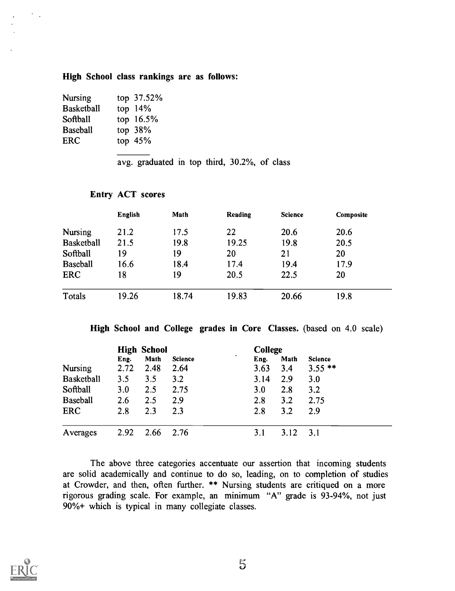#### High School class rankings are as follows:

| top 37.52%  |
|-------------|
| top $14%$   |
| top $16.5%$ |
| top $38%$   |
| top $45%$   |
|             |

avg. graduated in top third, 30.2%, of class

## Entry ACT scores

|                   | <b>English</b> | Math  | Reading | <b>Science</b> | Composite |
|-------------------|----------------|-------|---------|----------------|-----------|
| <b>Nursing</b>    | 21.2           | 17.5  | 22      | 20.6           | 20.6      |
| <b>Basketball</b> | 21.5           | 19.8  | 19.25   | 19.8           | 20.5      |
| Softball          | 19             | 19    | 20      | 21             | 20        |
| <b>Baseball</b>   | 16.6           | 18.4  | 17.4    | 19.4           | 17.9      |
| <b>ERC</b>        | 18             | 19    | 20.5    | 22.5           | 20        |
| Totals            | 19.26          | 18.74 | 19.83   | 20.66          | 19.8      |

High School and College grades in Core Classes. (based on 4.0 scale)

|                   | <b>High School</b> |      |                | <b>College</b> |      |                |
|-------------------|--------------------|------|----------------|----------------|------|----------------|
|                   | Eng.               | Math | <b>Science</b> | ٠<br>Eng.      | Math | <b>Science</b> |
| <b>Nursing</b>    | 2.72               | 2.48 | 2.64           | 3.63           | 3,4  | $3.55$ **      |
| <b>Basketball</b> | 3.5                | 3.5  | 3.2            | 3.14           | 2.9  | 3.0            |
| Softball          | 3.0                | 2.5  | 2.75           | <b>3.0</b>     | 2.8  | 3.2            |
| <b>Baseball</b>   | 2.6                | 2.5  | 2.9            | 2.8            | 3.2  | 2.75           |
| <b>ERC</b>        | 2.8                | 2.3  | 2.3            | 2.8            | 3.2  | 2.9            |
| Averages          | 2.92               | 2.66 | 2.76           | 3.1            | 3.12 | 3.1            |

The above three categories accentuate our assertion that incoming students are solid academically and continue to do so, leading, on to completion of studies at Crowder, and then, often further. \*\* Nursing students are critiqued on a more rigorous grading scale. For example, an minimum "A" grade is 93-94%, not just 90%+ which is typical in many collegiate classes.

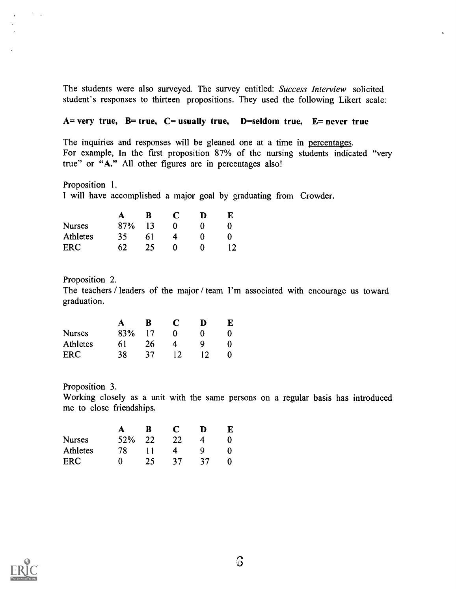The students were also surveyed. The survey entitled: Success Interview solicited student's responses to thirteen propositions. They used the following Likert scale:

### $A=$  very true,  $B=$  true,  $C=$  usually true,  $D=$  seldom true,  $E=$  never true

The inquiries and responses will be gleaned one at a time in percentages. For example, In the first proposition 87% of the nursing students indicated "very true" or "A." All other figures are in percentages also!

Proposition 1. I will have accomplished a major goal by graduating from Crowder.

|               | A   | ĸ  | C |   |  |
|---------------|-----|----|---|---|--|
| <b>Nurses</b> | 87% | 13 |   |   |  |
| Athletes      | 35  | 61 |   |   |  |
| <b>ERC</b>    | 62  | 25 |   | 0 |  |

Proposition 2.

 $\sim$   $^{-1}$ 

The teachers / leaders of the major / team I'm associated with encourage us toward graduation.

|               | A      | - B             | C         | Ð  |  |
|---------------|--------|-----------------|-----------|----|--|
| <b>Nurses</b> | 83% 17 |                 | 0         |    |  |
| Athletes      | -61    | 26              | 4         |    |  |
| ERC           | 38.    | 37 <sup>°</sup> | <b>12</b> | 12 |  |

Proposition 3.

Working closely as a unit with the same persons on a regular basis has introduced me to close friendships.

|               | A       | B. | C               | D               | К. |  |
|---------------|---------|----|-----------------|-----------------|----|--|
| <b>Nurses</b> | 52\% 22 |    | -22             | 4               |    |  |
| Athletes      | 78.     | 11 | 4               | -Q              |    |  |
| <b>ERC</b>    | 0       | 25 | 37 <sup>°</sup> | 37 <sup>°</sup> |    |  |

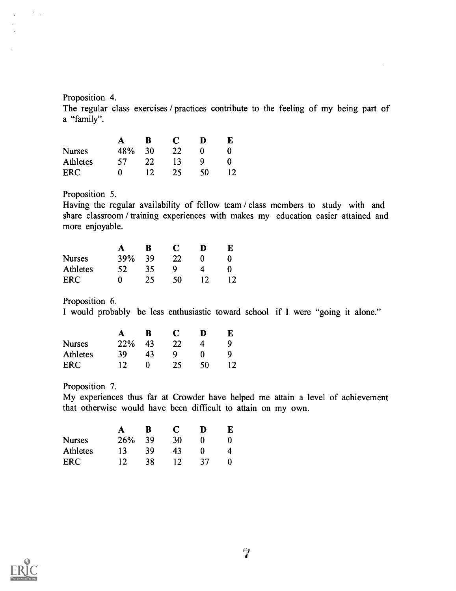#### Proposition 4.

 $\Delta \sim 1$ 

The regular class exercises / practices contribute to the feeling of my being part of a "family".

|               |     | в   | C   | D  |  |
|---------------|-----|-----|-----|----|--|
| <b>Nurses</b> | 48% | 30  | -22 |    |  |
| Athletes      | 57. | 22. | 13  | Q  |  |
| <b>ERC</b>    | 0   | 12  | 25  | ۲Ω |  |

## Proposition 5.

Having the regular availability of fellow team / class members to study with and share classroom / training experiences with makes my education easier attained and more enjoyable.

|               | A   | В  |    |  |  |
|---------------|-----|----|----|--|--|
| <b>Nurses</b> | 39% | 39 | 22 |  |  |
| Athletes      | 52  | 35 | Q  |  |  |
| ERC           | Ω   | 25 | 50 |  |  |

Proposition 6.

I would probably be less enthusiastic toward school if I were "going it alone."

|               | А   | B  | C  | D  |  |
|---------------|-----|----|----|----|--|
| <b>Nurses</b> | 22% | 43 | 22 |    |  |
| Athletes      | 39  | 43 | Q  |    |  |
| <b>ERC</b>    | 12  |    | 25 | ۲Λ |  |

Proposition 7.

My experiences thus far at Crowder have helped me attain a level of achievement that otherwise would have been difficult to attain on my own.

|               |     | B   | C   | D  | F. |  |
|---------------|-----|-----|-----|----|----|--|
| <b>Nurses</b> | 26% | -39 | 30  |    |    |  |
| Athletes      | 13  | 39  | 43  |    |    |  |
| ERC           |     | 38  | 12. | 37 |    |  |

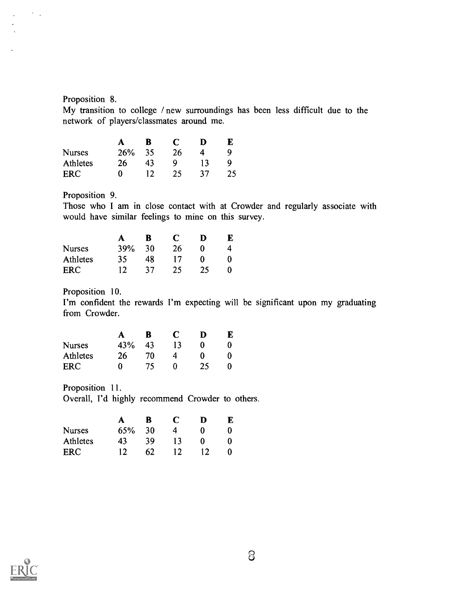### Proposition 8.

 $\Delta \sim 1$ 

My transition to college / new surroundings has been less difficult due to the network of players/classmates around me.

|               | A   | B.              | C  |    |  |
|---------------|-----|-----------------|----|----|--|
| <b>Nurses</b> | 26% | -35             | 26 | 4  |  |
| Athletes      | 26  | 43              | 0  |    |  |
| <b>ERC</b>    | 0   | 12 <sup>°</sup> | 25 | 37 |  |

Proposition 9.

Those who I am in close contact with at Crowder and regularly associate with would have similar feelings to mine on this survey.

|               | A               | - B - | C         | D            | K. |  |
|---------------|-----------------|-------|-----------|--------------|----|--|
| <b>Nurses</b> | 39%             | 30    | -26       | $\mathbf{u}$ |    |  |
| Athletes      | 35              | 48.   | 17        | O            |    |  |
| <b>ERC</b>    | 12 <sup>7</sup> | -37   | <b>25</b> | 25           |    |  |

Proposition 10.

I'm confident the rewards I'm expecting will be significant upon my graduating from Crowder.

|               | A   | В  | C  | D |  |
|---------------|-----|----|----|---|--|
| <b>Nurses</b> | 43% | 43 | 13 |   |  |
| Athletes      | 26  | 70 |    |   |  |
| <b>ERC</b>    | 0   | 75 |    |   |  |

Proposition 11. Overall, I'd highly recommend Crowder to others.

|                 | A      | <b>B</b> | - C | D | F. |
|-----------------|--------|----------|-----|---|----|
| <b>Nurses</b>   | 65% 30 |          | 4   |   |    |
| <b>Athletes</b> | 43     | 39       | 13  | 0 |    |
| ERC             |        | 62.      | 12. |   |    |

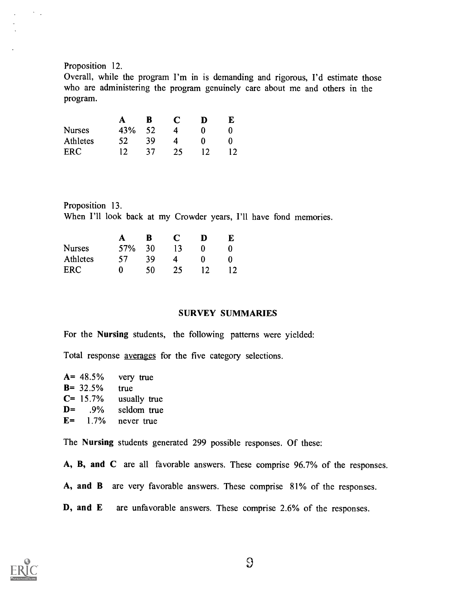#### Proposition 12.

 $\Delta \sim 1$ 

Overall, while the program I'm in is demanding and rigorous, I'd estimate those who are administering the program genuinely care about me and others in the program.

|               | A               | -B  | - C | D | E |  |
|---------------|-----------------|-----|-----|---|---|--|
| <b>Nurses</b> | 43%             | 52  | 4   |   |   |  |
| Athletes      | 52 <sub>2</sub> | -39 | 4   |   |   |  |
| <b>FRC</b>    |                 | 37  | 25  |   |   |  |

Proposition 13. When I'll look back at my Crowder years, I'll have fond memories.

|               |     | В  | C  | D | F. |  |
|---------------|-----|----|----|---|----|--|
| <b>Nurses</b> | 57% | 30 | 13 |   |    |  |
| Athletes      | 57  | 39 | 4  |   |    |  |
| <b>ERC</b>    | 0   | 50 | 25 |   |    |  |

## SURVEY SUMMARIES

For the Nursing students, the following patterns were yielded:

Total response averages for the five category selections.

| $A = 48.5\%$ | very true    |
|--------------|--------------|
| $B = 32.5%$  | true         |
| $C = 15.7\%$ | usually true |
| $D = 9\%$    | seldom true  |
| $E = 1.7\%$  | never true   |

The Nursing students generated 299 possible responses. Of these:

A, B, and C are all favorable answers. These comprise 96.7% of the responses.

- A, and B are very favorable answers. These comprise 81% of the responses.
- D, and E are unfavorable answers. These comprise 2.6% of the responses.



 $\Omega$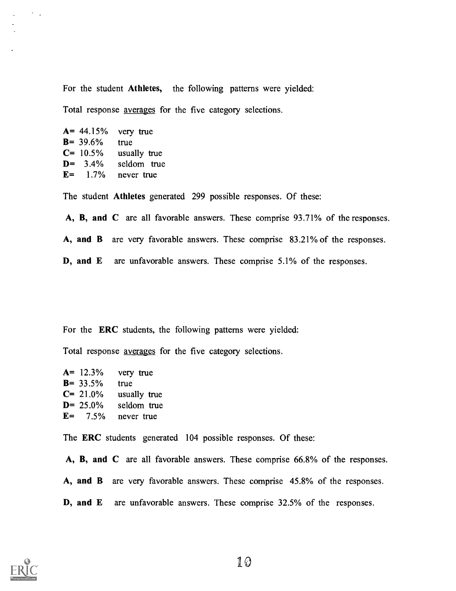For the student Athletes, the following patterns were yielded:

Total response averages for the five category selections.

 $A = 44.15%$  very true B= 39.6% true  $C= 10.5\%$  usually true D= 3.4% seldom true  $E=$  1.7% never true

 $\sigma_{\rm{max}}$ 

The student Athletes generated 299 possible responses. Of these:

A, B, and C are all favorable answers. These comprise 93.71% of the responses.

A, and B are very favorable answers. These comprise 83.21% of the responses.

D, and E are unfavorable answers. These comprise 5.1% of the responses.

For the ERC students, the following patterns were yielded:

Total response averages for the five category selections.

|              | $A = 12.3\%$ very true |
|--------------|------------------------|
| $B = 33.5%$  | true                   |
| $C = 21.0\%$ | usually true           |
| $D = 25.0\%$ | seldom true            |
| $E = 7.5\%$  | never true             |

The ERC students generated 104 possible responses. Of these:

A, B, and C are all favorable answers. These comprise 66.8% of the responses. A, and B are very favorable answers. These comprise 45.8% of the responses. D, and E are unfavorable answers. These comprise 32.5% of the responses.

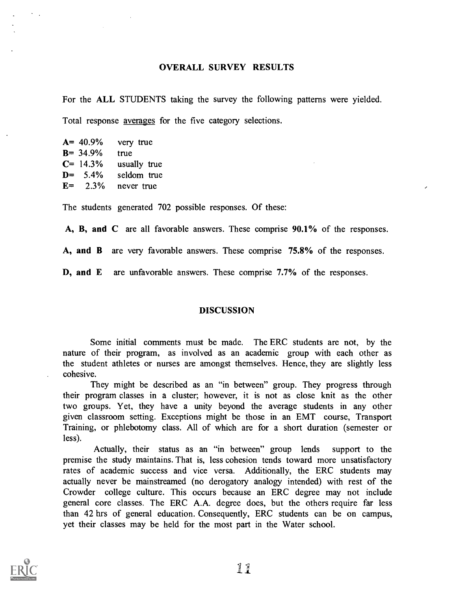#### OVERALL SURVEY RESULTS

For the ALL STUDENTS taking the survey the following patterns were yielded.

Total response averages for the five category selections.

|              | $A = 40.9\%$ very true |
|--------------|------------------------|
| $B = 34.9\%$ | true                   |
| $C = 14.3\%$ | usually true           |
| $D = 5.4\%$  | seldom true            |
|              | $E = 2.3\%$ never true |

The students generated 702 possible responses. Of these:

A, B, and C are all favorable answers. These comprise 90.1% of the responses.

A, and B are very favorable answers. These comprise 75.8% of the responses.

D, and E are unfavorable answers. These comprise 7.7% of the responses.

#### DISCUSSION

Some initial comments must be made. The ERC students are not, by the nature of their program, as involved as an academic group with each other as the student athletes or nurses are amongst themselves. Hence, they are slightly less cohesive.

They might be described as an "in between" group. They progress through their program classes in a cluster; however, it is not as close knit as the other two groups. Yet, they have a unity beyond the average students in any other given classroom setting. Exceptions might be those in an EMT course, Transport Training, or phlebotomy class. All of which are for a short duration (semester or less).

Actually, their status as an "in between" group lends support to the premise the study maintains. That is, less cohesion tends toward more unsatisfactory rates of academic success and vice versa. Additionally, the ERC students may actually never be mainstreamed (no derogatory analogy intended) with rest of the Crowder college culture. This occurs because an ERC degree may not include general core classes. The ERC A.A. degree does, but the others require far less than 42 hrs of general education. Consequently, ERC students can be on campus, yet their classes may be held for the most part in the Water school.

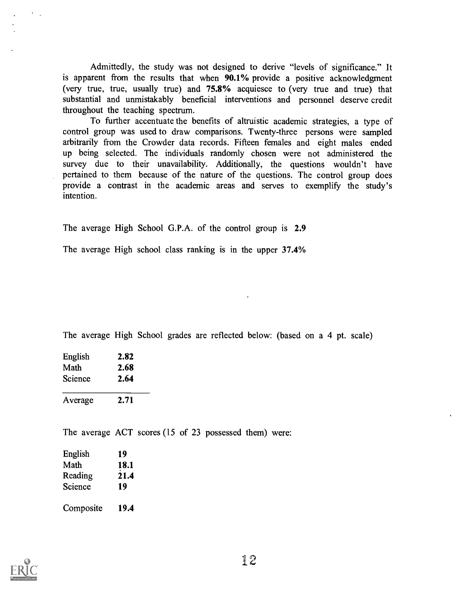Admittedly, the study was not designed to derive "levels of significance." It is apparent from the results that when 90.1% provide a positive acknowledgment (very true, true, usually true) and 75.8% acquiesce to (very true and true) that substantial and unmistakably beneficial interventions and personnel deserve credit throughout the teaching spectrum.

To further accentuate the benefits of altruistic academic strategies, a type of control group was used to draw comparisons. Twenty-three persons were sampled arbitrarily from the Crowder data records. Fifteen females and eight males ended up being selected. The individuals randomly chosen were not administered the survey due to their unavailability. Additionally, the questions wouldn't have pertained to them because of the nature of the questions. The control group does provide a contrast in the academic areas and serves to exemplify the study's intention.

The average High School G.P.A. of the control group is 2.9

The average High school class ranking is in the upper 37.4%

The average High School grades are reflected below: (based on a 4 pt. scale)

| English | 2.82 |  |
|---------|------|--|
| Math    | 2.68 |  |
| Science | 2.64 |  |
| Average | 2.71 |  |

The average ACT scores (15 of 23 possessed them) were:

| English   | 19   |  |
|-----------|------|--|
| Math      | 18.1 |  |
| Reading   | 21.4 |  |
| Science   | 19   |  |
| Composite | 19.4 |  |

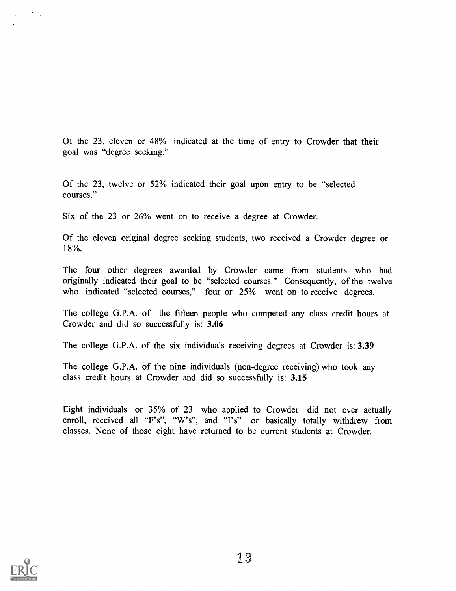Of the 23, eleven or 48% indicated at the time of entry to Crowder that their goal was "degree seeking."

Of the 23, twelve or 52% indicated their goal upon entry to be "selected courses."

Six of the 23 or 26% went on to receive a degree at Crowder.

Of the eleven original degree seeking students, two received a Crowder degree or 18%.

The four other degrees awarded by Crowder came from students who had originally indicated their goal to be "selected courses." Consequently, of the twelve who indicated "selected courses," four or 25% went on to receive degrees.

The college G.P.A. of the fifteen people who competed any class credit hours at Crowder and did so successfully is: 3.06

The college G.P.A. of the six individuals receiving degrees at Crowder is: 3.39

The college G.P.A. of the nine individuals (non-degree receiving) who took any class credit hours at Crowder and did so successfully is: 3.15

Eight individuals or 35% of 23 who applied to Crowder did not ever actually enroll, received all "F's", "W's", and "I's" or basically totally withdrew from classes. None of those eight have returned to be current students at Crowder.



 $\sim$   $\sim$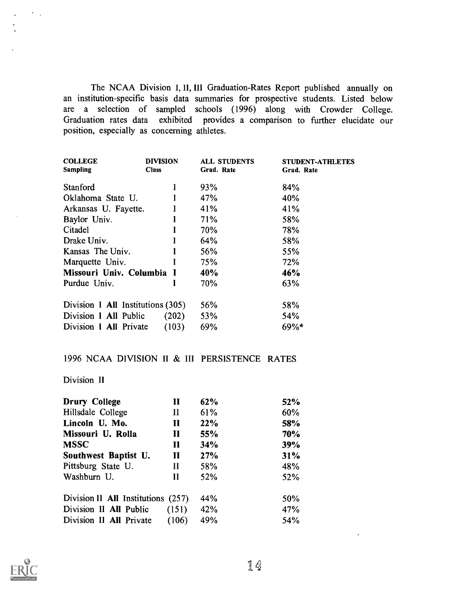The NCAA Division I, II, III Graduation-Rates Report published annually on an institution-specific basis data summaries for prospective students. Listed below are a selection of sampled schools (1996) along with Crowder College. Graduation rates data exhibited provides a comparison to further elucidate our position, especially as concerning athletes.

| <b>DIVISION</b> | <b>ALL STUDENTS</b>                                                                                                                            | <b>STUDENT-ATHLETES</b> |
|-----------------|------------------------------------------------------------------------------------------------------------------------------------------------|-------------------------|
| <b>Class</b>    | Grad. Rate                                                                                                                                     | Grad. Rate              |
|                 |                                                                                                                                                |                         |
|                 |                                                                                                                                                | 84%                     |
|                 | 47%                                                                                                                                            | 40%                     |
| I               | 41%                                                                                                                                            | 41%                     |
|                 | 71%                                                                                                                                            | 58%                     |
|                 | 70%                                                                                                                                            | 78%                     |
|                 | 64%                                                                                                                                            | 58%                     |
|                 | 56%                                                                                                                                            | 55%                     |
|                 | 75%                                                                                                                                            | 72%                     |
|                 | 40%                                                                                                                                            | 46%                     |
|                 | 70%                                                                                                                                            | 63%                     |
|                 |                                                                                                                                                |                         |
|                 | 56%                                                                                                                                            | 58%                     |
| (202)           | 53%                                                                                                                                            | 54%                     |
| (103)           | 69%                                                                                                                                            | $69\%*$                 |
|                 | L<br>Arkansas U. Fayette.<br>Missouri Univ. Columbia I<br>Division I All Institutions (305)<br>Division I All Public<br>Division I All Private | 93%                     |

## 1996 NCAA DIVISION II & III PERSISTENCE RATES

## Division II

 $\sigma_{\rm{max}}$ 

| <b>Drury College</b>               | $\mathbf{I}$ | 62%        | 52%        |
|------------------------------------|--------------|------------|------------|
| Hillsdale College                  | $\mathbf{I}$ | 61%        | 60%        |
| Lincoln U. Mo.                     | $\mathbf{I}$ | 22%        | 58%        |
| Missouri U. Rolla                  | $\mathbf{I}$ | 55%        | <b>70%</b> |
| <b>MSSC</b>                        | $\mathbf H$  | 34%        | 39%        |
| Southwest Baptist U.               | $\mathbf{I}$ | 27%        | 31%        |
| Pittsburg State U.                 | $\mathbf{I}$ | 58%        | 48%        |
| Washburn U.                        | H            | <b>52%</b> | 52%        |
| Division II All Institutions (257) |              | 44%        | 50%        |
| Division II All Public             | (151)        | 42%        | 47%        |
| Division II All Private            | (106)        | 49%        | 54%        |

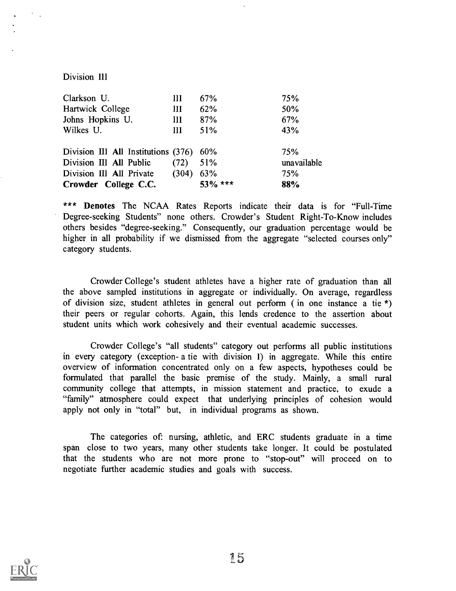#### Division III

| Clarkson U.                             | Ш           | 67%        | 75%         |
|-----------------------------------------|-------------|------------|-------------|
| Hartwick College                        | Ш           | 62%        | 50%         |
| Johns Hopkins U.                        | Ш           | 87%        | 67%         |
| Wilkes U.                               | Ш           | 51%        | 43%         |
| Division III All Institutions (376) 60% |             |            | 75%         |
| Division III All Public (72)            |             | 51%        | unavailable |
| Division III All Private                | $(304)$ 63% |            | 75%         |
| Crowder College C.C.                    |             | $53\%$ *** | 88%         |

\*\*\* Denotes The NCAA Rates Reports indicate their data is for "Full-Time Degree-seeking Students" none others. Crowder's Student Right-To-Know includes others besides "degree-seeking." Consequently, our graduation percentage would be higher in all probability if we dismissed from the aggregate "selected courses only" category students.

Crowder College's student athletes have a higher rate of graduation than all the above sampled institutions in aggregate or individually. On average, regardless of division size, student athletes in general out perform ( in one instance a tie \*) their peers or regular cohorts. Again, this lends credence to the assertion about student units which work cohesively and their eventual academic successes.

Crowder College's "all students" category out performs all public institutions in every category (exception- a tie with division I) in aggregate. While this entire overview of information concentrated only on a few aspects, hypotheses could be formulated that parallel the basic premise of the study. Mainly, a small rural community college that attempts, in mission statement and practice, to exude a "family" atmosphere could expect that underlying principles of cohesion would apply not only in "total" but, in individual programs as shown.

The categories of: nursing, athletic, and ERC students graduate in a time span close to two years, many other students take longer. It could be postulated that the students who are not more prone to "stop-out" will proceed on to negotiate further academic studies and goals with success.

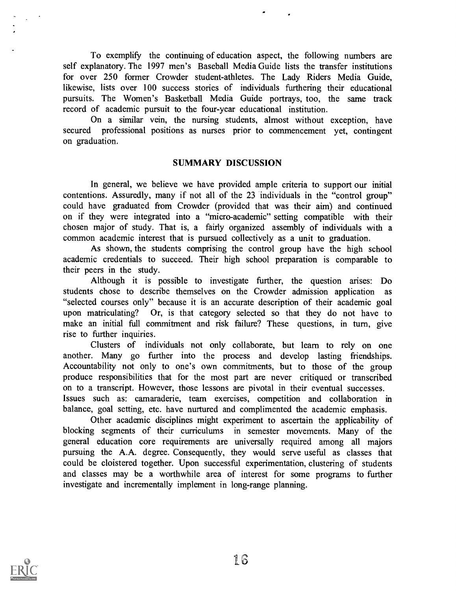To exemplify the continuing of education aspect, the following numbers are self explanatory. The 1997 men's Baseball Media Guide lists the transfer institutions for over 250 former Crowder student-athletes. The Lady Riders Media Guide, likewise, lists over 100 success stories of individuals furthering their educational pursuits. The Women's Basketball Media Guide portrays, too, the same track record of academic pursuit to the four-year educational institution.

On a similar vein, the nursing students, almost without exception, have secured professional positions as nurses prior to commencement yet, contingent on graduation.

#### SUMMARY DISCUSSION

In general, we believe we have provided ample criteria to support our initial contentions. Assuredly, many if not all of the 23 individuals in the "control group" could have graduated from Crowder (provided that was their aim) and continued on if they were integrated into a "micro-academic" setting compatible with their chosen major of study. That is, a fairly organized assembly of individuals with a common academic interest that is pursued collectively as a unit to graduation.

As shown, the students comprising the control group have the high school academic credentials to succeed. Their high school preparation is comparable to their peers in the study.

Although it is possible to investigate further, the question arises: Do students chose to describe themselves on the Crowder admission application as "selected courses only" because it is an accurate description of their academic goal upon matriculating? Or, is that category selected so that they do not have to make an initial full commitment and risk failure? These questions, in turn, give rise to further inquiries.

Clusters of individuals not only collaborate, but learn to rely on one another. Many go further into the process and develop lasting friendships. Accountability not only to one's own commitments, but to those of the group produce responsibilities that for the most part are never critiqued or transcribed on to a transcript. However, those lessons are pivotal in their eventual successes. Issues such as: camaraderie, team exercises, competition and collaboration in balance, goal setting, etc. have nurtured and complimented the academic emphasis.

Other academic disciplines might experiment to ascertain the applicability of blocking segments of their curriculums in semester movements. Many of the general education core requirements are universally required among all majors pursuing the A.A. degree. Consequently, they would serve useful as classes that could be cloistered together. Upon successful experimentation, clustering of students and classes may be a worthwhile area of interest for some programs to further investigate and incrementally implement in long-range planning.

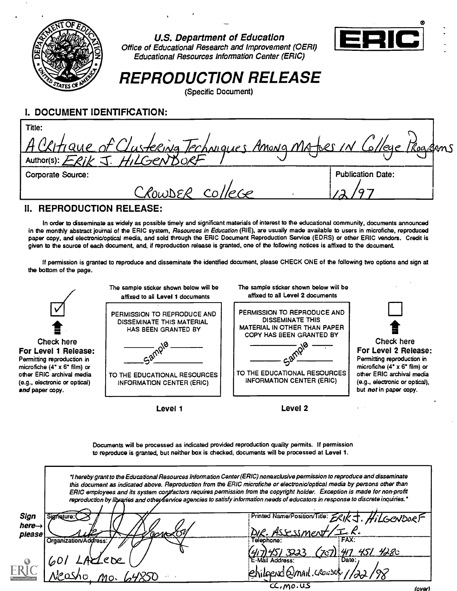

U.S. Department of Education Office of Educational Research and Improvement (OEM) Educational Resources Information Center (ERIC)



REPRODUCTION RELEASE

(Specific Document)

# I. DOCUMENT IDENTIFICATION:

| Title:                                                              |                          |  |
|---------------------------------------------------------------------|--------------------------|--|
| A Certique of Clustering Techniques Among Mates IN College Programs |                          |  |
|                                                                     |                          |  |
| <b>Corporate Source:</b>                                            | <b>Publication Date:</b> |  |
|                                                                     |                          |  |

# II. REPRODUCTION RELEASE:

In order to disseminate as widely as possible timely and significant materials of interest to the educational community, documents announced in the monthly abstract journal of the ERIC system, Resources in Education (RIE), are usually made available to users in microfiche, reproduced paper copy, and electronic/optical media, and sold through the ERIC Document Reproduction Service (EDRS) or other ERIC vendors. Credit is given to the source of each document, and, if reproduction release is granted, one of the following notices is affixed to the document

If permission is granted to reproduce and disseminate the identified document, please CHECK ONE of the following two options and sign at the bottom of the page.



Documents will be processed as indicated provided reproduction quality permits. If permission to reproduce is granted, but neither box is checked, documents will be processed at Level 1.

|                                      |                                            | "I hereby grant to the Educational Resources Information Center (ERIC) nonexclusive permission to reproduce and disseminate<br>this document as indicated above. Reproduction from the ERIC microfiche or electronic/optical media by persons other than<br>ERIC employees and its system contractors requires permission from the copyright holder. Exception is made for non-profit<br>reproduction by libraries and otheyservice agencies to satisfy information needs of educators in response to discrete inquiries. * |  |
|--------------------------------------|--------------------------------------------|-----------------------------------------------------------------------------------------------------------------------------------------------------------------------------------------------------------------------------------------------------------------------------------------------------------------------------------------------------------------------------------------------------------------------------------------------------------------------------------------------------------------------------|--|
| Sign<br>nere $\rightarrow$<br>please | $\omega$ r $\sim$<br>Organization/Address: | Printed Name/Position/Title: ERIKJ. HiLGCNDORF<br>DIR. Assessment/I.R.<br>FFAX:                                                                                                                                                                                                                                                                                                                                                                                                                                             |  |
|                                      |                                            | Telephone:<br>7) 47 451 4280<br>E-Mail Address:<br>nail. Crowser 1,                                                                                                                                                                                                                                                                                                                                                                                                                                                         |  |
|                                      |                                            | $C$ , $mo.$ $US$<br>(over)                                                                                                                                                                                                                                                                                                                                                                                                                                                                                                  |  |